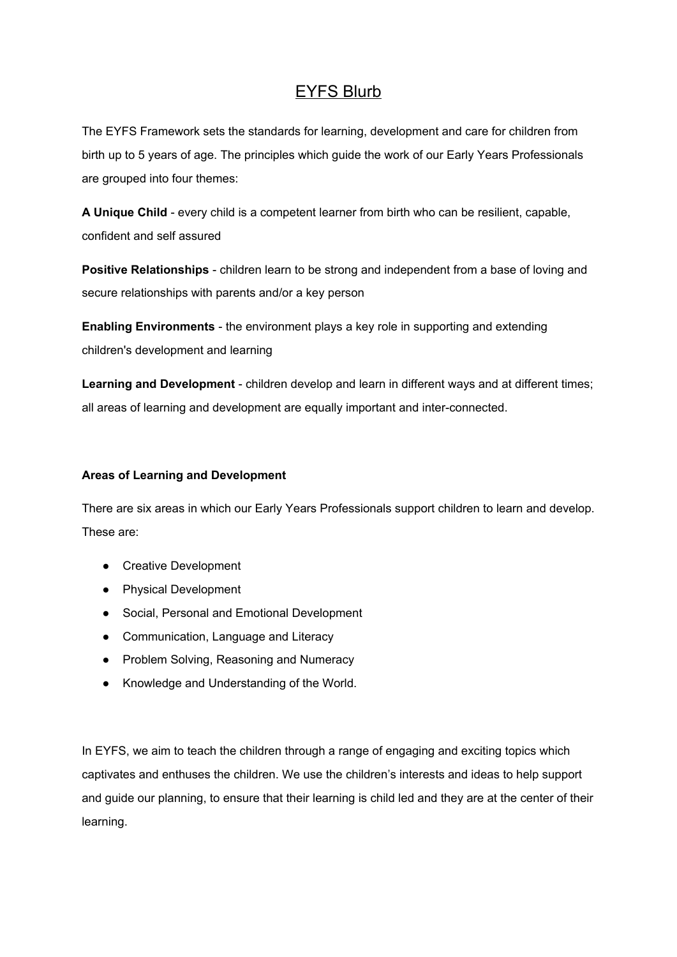## EYFS Blurb

The EYFS Framework sets the standards for learning, development and care for children from birth up to 5 years of age. The principles which guide the work of our Early Years Professionals are grouped into four themes:

**A Unique Child** - every child is a competent learner from birth who can be resilient, capable, confident and self assured

**Positive Relationships** - children learn to be strong and independent from a base of loving and secure relationships with parents and/or a key person

**Enabling Environments** - the environment plays a key role in supporting and extending children's development and learning

**Learning and Development** - children develop and learn in different ways and at different times; all areas of learning and development are equally important and inter-connected.

## **Areas of Learning and Development**

There are six areas in which our Early Years Professionals support children to learn and develop. These are:

- Creative Development
- Physical Development
- Social, Personal and Emotional Development
- Communication, Language and Literacy
- Problem Solving, Reasoning and Numeracy
- Knowledge and Understanding of the World.

In EYFS, we aim to teach the children through a range of engaging and exciting topics which captivates and enthuses the children. We use the children's interests and ideas to help support and guide our planning, to ensure that their learning is child led and they are at the center of their learning.